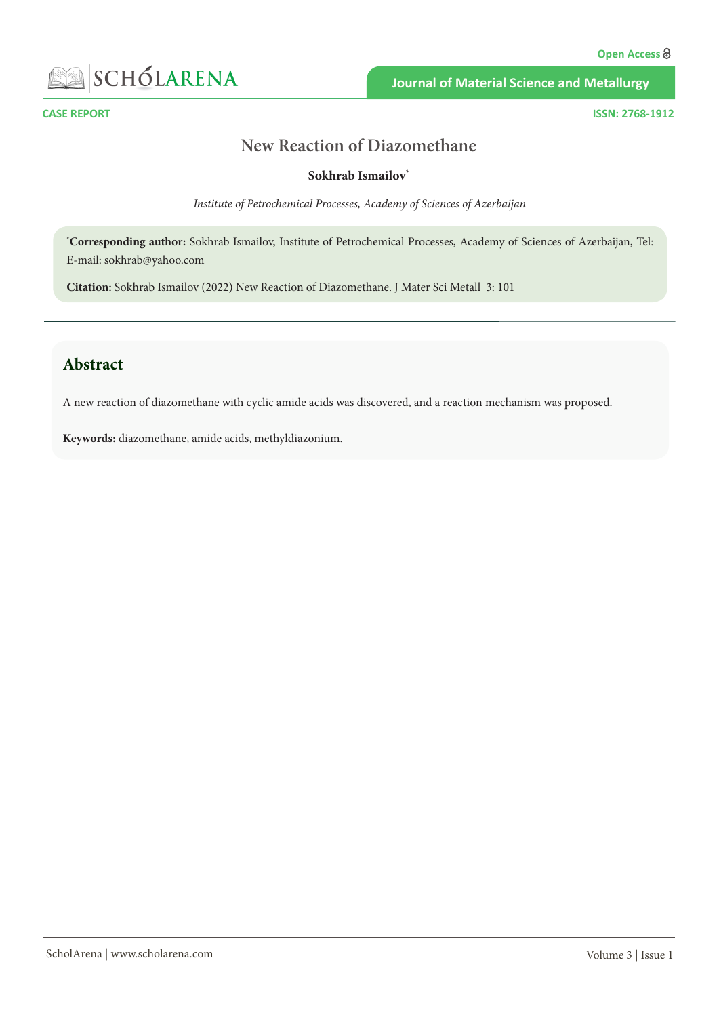

**Journal of Material Science and Metallurgy**

**CASE REPORT ISSN: 2768-1912**

# **New Reaction of Diazomethane**

#### **Sokhrab Ismailov\***

*Institute of Petrochemical Processes, Academy of Sciences of Azerbaijan*

**\* Corresponding author:** Sokhrab Ismailov, Institute of Petrochemical Processes, Academy of Sciences of Azerbaijan, Tel: E-mail: [sokhrab@yahoo.com](mailto:sokhrab@yahoo.com)

**Citation:** Sokhrab Ismailov (2022) New Reaction of Diazomethane. J Mater Sci Metall 3: 101

# **Abstract**

A new reaction of diazomethane with cyclic amide acids was discovered, and a reaction mechanism was proposed.

**Keywords:** diazomethane, amide acids, methyldiazonium.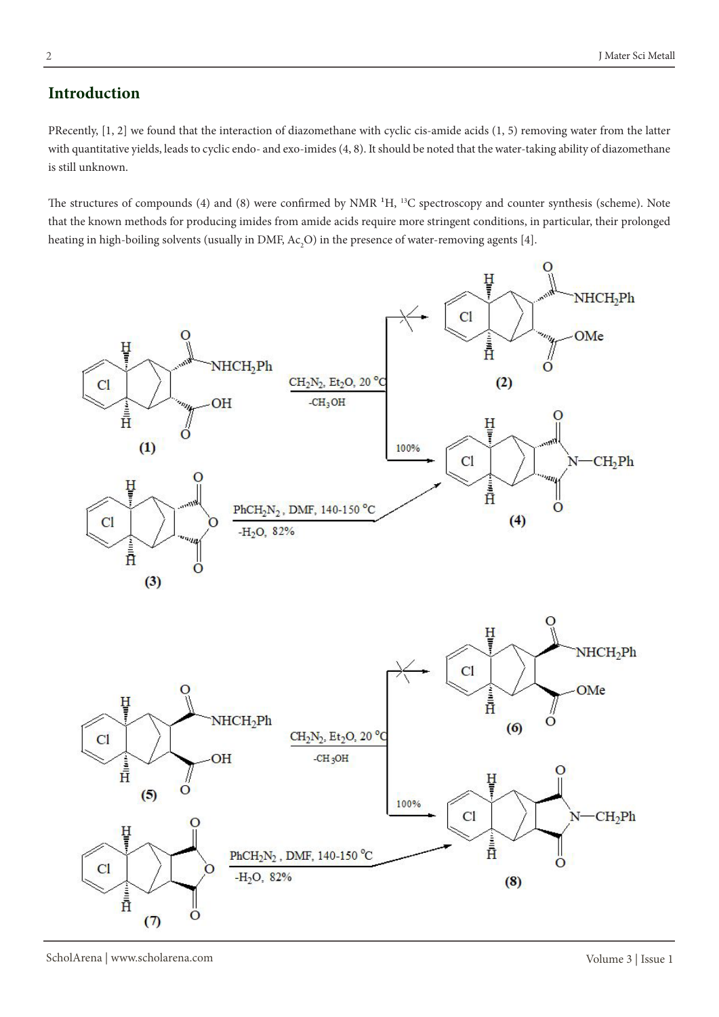### **Introduction**

PRecently, [1, 2] we found that the interaction of diazomethane with cyclic cis-amide acids (1, 5) removing water from the latter with quantitative yields, leads to cyclic endo- and exo-imides (4, 8). It should be noted that the water-taking ability of diazomethane is still unknown.

The structures of compounds (4) and (8) were confirmed by NMR <sup>1</sup>H, <sup>13</sup>C spectroscopy and counter synthesis (scheme). Note that the known methods for producing imides from amide acids require more stringent conditions, in particular, their prolonged heating in high-boiling solvents (usually in DMF,  $Ac_2O$ ) in the presence of water-removing agents [4].

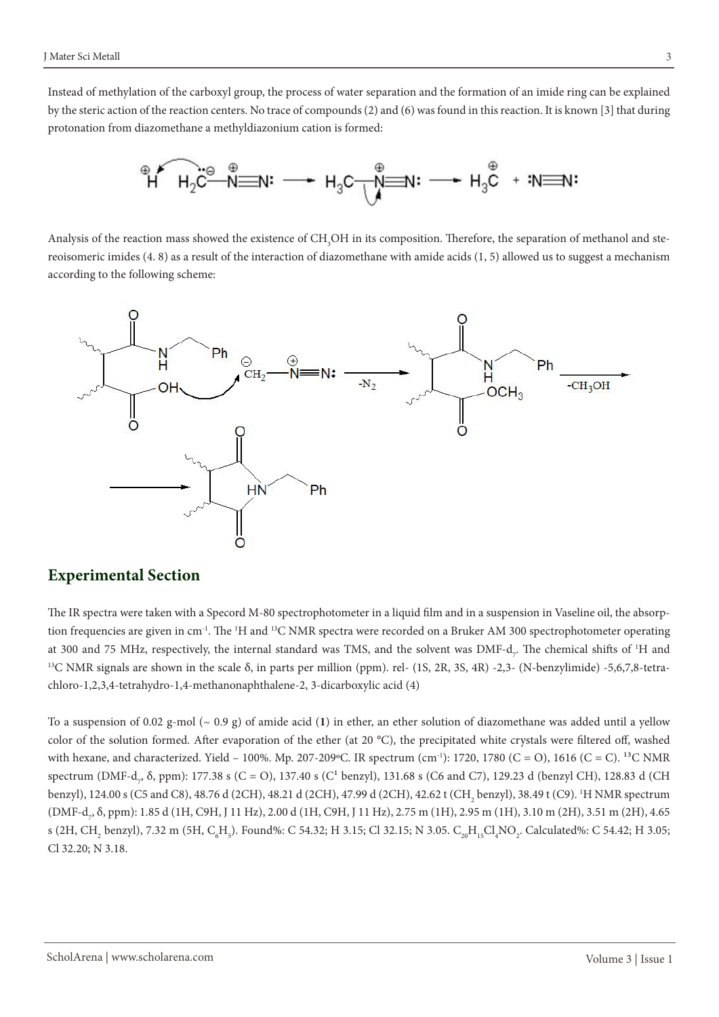Instead of methylation of the carboxyl group, the process of water separation and the formation of an imide ring can be explained by the steric action of the reaction centers. No trace of compounds (2) and (6) was found in this reaction. It is known [3] that during protonation from diazomethane a methyldiazonium cation is formed:



Analysis of the reaction mass showed the existence of  $\text{CH}_{_3}\text{OH}$  in its composition. Therefore, the separation of methanol and stereoisomeric imides (4. 8) as a result of the interaction of diazomethane with amide acids (1, 5) allowed us to suggest a mechanism according to the following scheme:



#### **Experimental Section**

The IR spectra were taken with a Specord M-80 spectrophotometer in a liquid film and in a suspension in Vaseline oil, the absorption frequencies are given in cm<sup>-1</sup>. The <sup>1</sup>H and <sup>13</sup>C NMR spectra were recorded on a Bruker AM 300 spectrophotometer operating at 300 and 75 MHz, respectively, the internal standard was TMS, and the solvent was DMF-d<sub>7</sub>. The chemical shifts of <sup>1</sup>H and <sup>13</sup>C NMR signals are shown in the scale δ, in parts per million (ppm). rel- (1S, 2R, 3S, 4R) -2,3- (N-benzylimide) -5,6,7,8-tetrachloro-1,2,3,4-tetrahydro-1,4-methanonaphthalene-2, 3-dicarboxylic acid (4)

To a suspension of 0.02 g-mol (~ 0.9 g) of amide acid (**1**) in ether, an ether solution of diazomethane was added until a yellow color of the solution formed. After evaporation of the ether (at 20 °C), the precipitated white crystals were filtered off, washed with hexane, and characterized. Yield – 100%. Mp. 207-209 °C. IR spectrum (cm<sup>-1</sup>): 1720, 1780 (C = O), 1616 (C = C). <sup>13</sup>C NMR spectrum (DMF-d<sub>7</sub>,  $\delta$ , ppm): 177.38 s (C = O), 137.40 s (C<sup>1</sup> benzyl), 131.68 s (C6 and C7), 129.23 d (benzyl CH), 128.83 d (CH benzyl), 124.00 s (C5 and C8), 48.76 d (2CH), 48.21 d (2CH), 47.99 d (2CH), 42.62 t (CH<sub>2</sub> benzyl), 38.49 t (C9). <sup>1</sup>H NMR spectrum (DMF-d<sub>7</sub>, δ, ppm): 1.85 d (1H, C9H, J 11 Hz), 2.00 d (1H, C9H, J 11 Hz), 2.75 m (1H), 2.95 m (1H), 3.10 m (2H), 3.51 m (2H), 4.65 s (2H, CH<sub>2</sub> benzyl), 7.32 m (5H, C<sub>6</sub>H<sub>5</sub>). Found%: C 54.32; H 3.15; Cl 32.15; N 3.05. C<sub>20</sub>H<sub>15</sub>Cl<sub>4</sub>NO<sub>2</sub>. Calculated%: C 54.42; H 3.05; Cl 32.20; N 3.18.